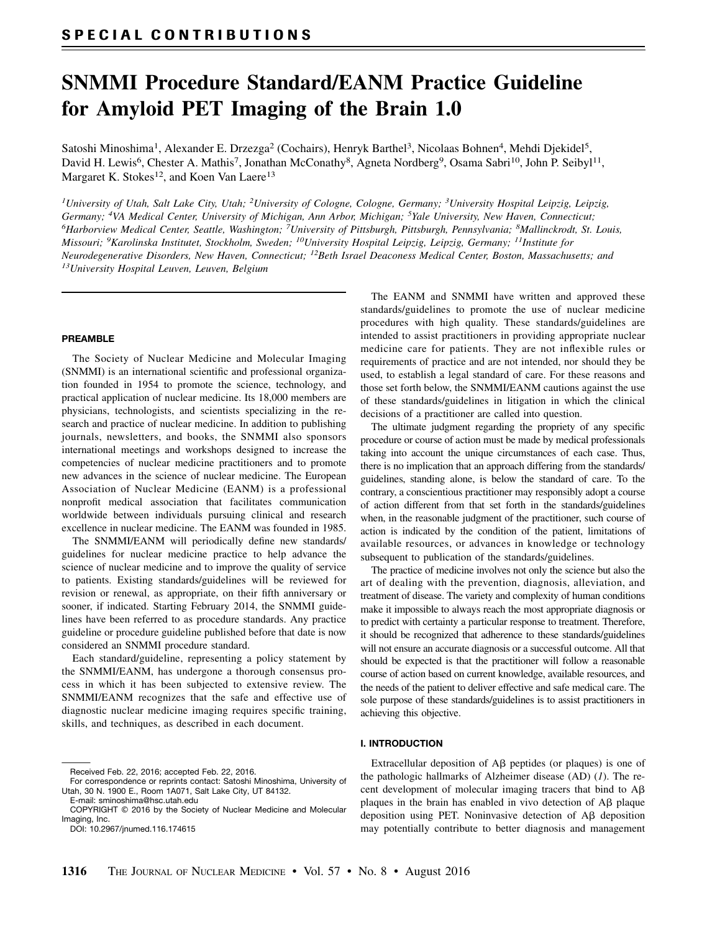# SNMMI Procedure Standard/EANM Practice Guideline for Amyloid PET Imaging of the Brain 1.0

Satoshi Minoshima<sup>1</sup>, Alexander E. Drzezga<sup>2</sup> (Cochairs), Henryk Barthel<sup>3</sup>, Nicolaas Bohnen<sup>4</sup>, Mehdi Djekidel<sup>5</sup>, David H. Lewis<sup>6</sup>, Chester A. Mathis<sup>7</sup>, Jonathan McConathy<sup>8</sup>, Agneta Nordberg<sup>9</sup>, Osama Sabri<sup>10</sup>, John P. Seibyl<sup>11</sup>, Margaret K. Stokes<sup>12</sup>, and Koen Van Laere<sup>13</sup>

<sup>1</sup>University of Utah, Salt Lake City, Utah; <sup>2</sup>University of Cologne, Cologne, Germany; <sup>3</sup>University Hospital Leipzig, Leipzig, Germany; <sup>4</sup>VA Medical Center, University of Michigan, Ann Arbor, Michigan; <sup>5</sup>Yale University, New Haven, Connecticut;  ${}^6$ Harborview Medical Center, Seattle, Washington; <sup>7</sup>University of Pittsburgh, Pittsburgh, Pennsylvania;  ${}^8$ Mallinckrodt, St. Louis, Missouri; <sup>9</sup>Karolinska Institutet, Stockholm, Sweden; <sup>10</sup>University Hospital Leipzig, Leipzig, Germany; <sup>11</sup>Institute for Neurodegenerative Disorders, New Haven, Connecticut; <sup>12</sup>Beth Israel Deaconess Medical Center, Boston, Massachusetts; and 13University Hospital Leuven, Leuven, Belgium

# PREAMBLE

The Society of Nuclear Medicine and Molecular Imaging (SNMMI) is an international scientific and professional organization founded in 1954 to promote the science, technology, and practical application of nuclear medicine. Its 18,000 members are physicians, technologists, and scientists specializing in the research and practice of nuclear medicine. In addition to publishing journals, newsletters, and books, the SNMMI also sponsors international meetings and workshops designed to increase the competencies of nuclear medicine practitioners and to promote new advances in the science of nuclear medicine. The European Association of Nuclear Medicine (EANM) is a professional nonprofit medical association that facilitates communication worldwide between individuals pursuing clinical and research excellence in nuclear medicine. The EANM was founded in 1985.

The SNMMI/EANM will periodically define new standards/ guidelines for nuclear medicine practice to help advance the science of nuclear medicine and to improve the quality of service to patients. Existing standards/guidelines will be reviewed for revision or renewal, as appropriate, on their fifth anniversary or sooner, if indicated. Starting February 2014, the SNMMI guidelines have been referred to as procedure standards. Any practice guideline or procedure guideline published before that date is now considered an SNMMI procedure standard.

Each standard/guideline, representing a policy statement by the SNMMI/EANM, has undergone a thorough consensus process in which it has been subjected to extensive review. The SNMMI/EANM recognizes that the safe and effective use of diagnostic nuclear medicine imaging requires specific training, skills, and techniques, as described in each document.

Received Feb. 22, 2016; accepted Feb. 22, 2016.

The EANM and SNMMI have written and approved these standards/guidelines to promote the use of nuclear medicine procedures with high quality. These standards/guidelines are intended to assist practitioners in providing appropriate nuclear medicine care for patients. They are not inflexible rules or requirements of practice and are not intended, nor should they be used, to establish a legal standard of care. For these reasons and those set forth below, the SNMMI/EANM cautions against the use of these standards/guidelines in litigation in which the clinical decisions of a practitioner are called into question.

The ultimate judgment regarding the propriety of any specific procedure or course of action must be made by medical professionals taking into account the unique circumstances of each case. Thus, there is no implication that an approach differing from the standards/ guidelines, standing alone, is below the standard of care. To the contrary, a conscientious practitioner may responsibly adopt a course of action different from that set forth in the standards/guidelines when, in the reasonable judgment of the practitioner, such course of action is indicated by the condition of the patient, limitations of available resources, or advances in knowledge or technology subsequent to publication of the standards/guidelines.

The practice of medicine involves not only the science but also the art of dealing with the prevention, diagnosis, alleviation, and treatment of disease. The variety and complexity of human conditions make it impossible to always reach the most appropriate diagnosis or to predict with certainty a particular response to treatment. Therefore, it should be recognized that adherence to these standards/guidelines will not ensure an accurate diagnosis or a successful outcome. All that should be expected is that the practitioner will follow a reasonable course of action based on current knowledge, available resources, and the needs of the patient to deliver effective and safe medical care. The sole purpose of these standards/guidelines is to assist practitioners in achieving this objective.

#### I. INTRODUCTION

Extracellular deposition of  $\overrightarrow{AB}$  peptides (or plaques) is one of the pathologic hallmarks of Alzheimer disease (AD)  $(1)$ . The recent development of molecular imaging tracers that bind to  $A\beta$ plaques in the brain has enabled in vivo detection of  $\overrightarrow{AB}$  plaque deposition using PET. Noninvasive detection of  $\overrightarrow{AB}$  deposition may potentially contribute to better diagnosis and management

For correspondence or reprints contact: Satoshi Minoshima, University of Utah, 30 N. 1900 E., Room 1A071, Salt Lake City, UT 84132.

E-mail: [sminoshima@hsc.utah.edu](mailto:sminoshima@hsc.utah.edu) COPYRIGHT © 2016 by the Society of Nuclear Medicine and Molecular Imaging, Inc.

DOI: 10.2967/jnumed.116.174615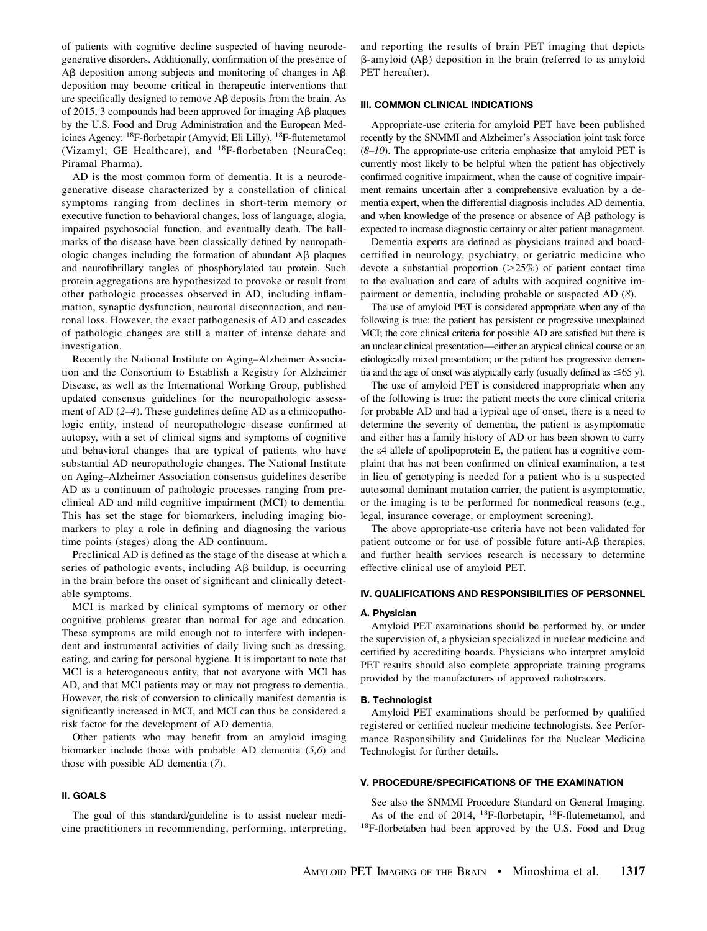of patients with cognitive decline suspected of having neurodegenerative disorders. Additionally, confirmation of the presence of  $A\beta$  deposition among subjects and monitoring of changes in  $A\beta$ deposition may become critical in therapeutic interventions that are specifically designed to remove A<sub>B</sub> deposits from the brain. As of 2015, 3 compounds had been approved for imaging  $\overrightarrow{AB}$  plaques by the U.S. Food and Drug Administration and the European Medicines Agency: 18F-florbetapir (Amyvid; Eli Lilly), 18F-flutemetamol (Vizamyl; GE Healthcare), and 18F-florbetaben (NeuraCeq; Piramal Pharma).

AD is the most common form of dementia. It is a neurodegenerative disease characterized by a constellation of clinical symptoms ranging from declines in short-term memory or executive function to behavioral changes, loss of language, alogia, impaired psychosocial function, and eventually death. The hallmarks of the disease have been classically defined by neuropathologic changes including the formation of abundant  $\overrightarrow{AB}$  plaques and neurofibrillary tangles of phosphorylated tau protein. Such protein aggregations are hypothesized to provoke or result from other pathologic processes observed in AD, including inflammation, synaptic dysfunction, neuronal disconnection, and neuronal loss. However, the exact pathogenesis of AD and cascades of pathologic changes are still a matter of intense debate and investigation.

Recently the National Institute on Aging–Alzheimer Association and the Consortium to Establish a Registry for Alzheimer Disease, as well as the International Working Group, published updated consensus guidelines for the neuropathologic assessment of AD (2–4). These guidelines define AD as a clinicopathologic entity, instead of neuropathologic disease confirmed at autopsy, with a set of clinical signs and symptoms of cognitive and behavioral changes that are typical of patients who have substantial AD neuropathologic changes. The National Institute on Aging–Alzheimer Association consensus guidelines describe AD as a continuum of pathologic processes ranging from preclinical AD and mild cognitive impairment (MCI) to dementia. This has set the stage for biomarkers, including imaging biomarkers to play a role in defining and diagnosing the various time points (stages) along the AD continuum.

Preclinical AD is defined as the stage of the disease at which a series of pathologic events, including  $\overrightarrow{AB}$  buildup, is occurring in the brain before the onset of significant and clinically detectable symptoms.

MCI is marked by clinical symptoms of memory or other cognitive problems greater than normal for age and education. These symptoms are mild enough not to interfere with independent and instrumental activities of daily living such as dressing, eating, and caring for personal hygiene. It is important to note that MCI is a heterogeneous entity, that not everyone with MCI has AD, and that MCI patients may or may not progress to dementia. However, the risk of conversion to clinically manifest dementia is significantly increased in MCI, and MCI can thus be considered a risk factor for the development of AD dementia.

Other patients who may benefit from an amyloid imaging biomarker include those with probable AD dementia (5,6) and those with possible AD dementia (7).

# II. GOALS

The goal of this standard/guideline is to assist nuclear medicine practitioners in recommending, performing, interpreting, and reporting the results of brain PET imaging that depicts  $\beta$ -amyloid (A $\beta$ ) deposition in the brain (referred to as amyloid PET hereafter).

#### III. COMMON CLINICAL INDICATIONS

Appropriate-use criteria for amyloid PET have been published recently by the SNMMI and Alzheimer's Association joint task force  $(8–10)$ . The appropriate-use criteria emphasize that amyloid PET is currently most likely to be helpful when the patient has objectively confirmed cognitive impairment, when the cause of cognitive impairment remains uncertain after a comprehensive evaluation by a dementia expert, when the differential diagnosis includes AD dementia, and when knowledge of the presence or absence of AB pathology is expected to increase diagnostic certainty or alter patient management.

Dementia experts are defined as physicians trained and boardcertified in neurology, psychiatry, or geriatric medicine who devote a substantial proportion  $(>=25%)$  of patient contact time to the evaluation and care of adults with acquired cognitive impairment or dementia, including probable or suspected AD (8).

The use of amyloid PET is considered appropriate when any of the following is true: the patient has persistent or progressive unexplained MCI; the core clinical criteria for possible AD are satisfied but there is an unclear clinical presentation—either an atypical clinical course or an etiologically mixed presentation; or the patient has progressive dementia and the age of onset was atypically early (usually defined as  $\leq 65$  y).

The use of amyloid PET is considered inappropriate when any of the following is true: the patient meets the core clinical criteria for probable AD and had a typical age of onset, there is a need to determine the severity of dementia, the patient is asymptomatic and either has a family history of AD or has been shown to carry the e4 allele of apolipoprotein E, the patient has a cognitive complaint that has not been confirmed on clinical examination, a test in lieu of genotyping is needed for a patient who is a suspected autosomal dominant mutation carrier, the patient is asymptomatic, or the imaging is to be performed for nonmedical reasons (e.g., legal, insurance coverage, or employment screening).

The above appropriate-use criteria have not been validated for patient outcome or for use of possible future anti- $\Delta\beta$  therapies, and further health services research is necessary to determine effective clinical use of amyloid PET.

## IV. QUALIFICATIONS AND RESPONSIBILITIES OF PERSONNEL

#### A. Physician

Amyloid PET examinations should be performed by, or under the supervision of, a physician specialized in nuclear medicine and certified by accrediting boards. Physicians who interpret amyloid PET results should also complete appropriate training programs provided by the manufacturers of approved radiotracers.

#### B. Technologist

Amyloid PET examinations should be performed by qualified registered or certified nuclear medicine technologists. See Performance Responsibility and Guidelines for the Nuclear Medicine Technologist for further details.

# V. PROCEDURE/SPECIFICATIONS OF THE EXAMINATION

See also the SNMMI Procedure Standard on General Imaging. As of the end of 2014, 18F-florbetapir, 18F-flutemetamol, and 18F-florbetaben had been approved by the U.S. Food and Drug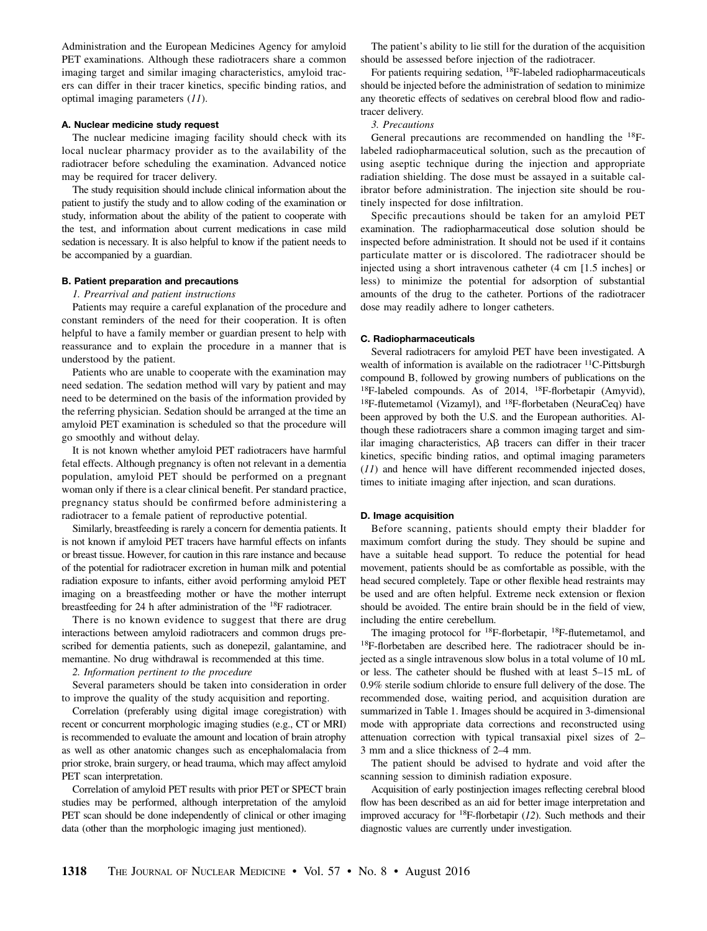Administration and the European Medicines Agency for amyloid PET examinations. Although these radiotracers share a common imaging target and similar imaging characteristics, amyloid tracers can differ in their tracer kinetics, specific binding ratios, and optimal imaging parameters (11).

# A. Nuclear medicine study request

The nuclear medicine imaging facility should check with its local nuclear pharmacy provider as to the availability of the radiotracer before scheduling the examination. Advanced notice may be required for tracer delivery.

The study requisition should include clinical information about the patient to justify the study and to allow coding of the examination or study, information about the ability of the patient to cooperate with the test, and information about current medications in case mild sedation is necessary. It is also helpful to know if the patient needs to be accompanied by a guardian.

#### B. Patient preparation and precautions

#### 1. Prearrival and patient instructions

Patients may require a careful explanation of the procedure and constant reminders of the need for their cooperation. It is often helpful to have a family member or guardian present to help with reassurance and to explain the procedure in a manner that is understood by the patient.

Patients who are unable to cooperate with the examination may need sedation. The sedation method will vary by patient and may need to be determined on the basis of the information provided by the referring physician. Sedation should be arranged at the time an amyloid PET examination is scheduled so that the procedure will go smoothly and without delay.

It is not known whether amyloid PET radiotracers have harmful fetal effects. Although pregnancy is often not relevant in a dementia population, amyloid PET should be performed on a pregnant woman only if there is a clear clinical benefit. Per standard practice, pregnancy status should be confirmed before administering a radiotracer to a female patient of reproductive potential.

Similarly, breastfeeding is rarely a concern for dementia patients. It is not known if amyloid PET tracers have harmful effects on infants or breast tissue. However, for caution in this rare instance and because of the potential for radiotracer excretion in human milk and potential radiation exposure to infants, either avoid performing amyloid PET imaging on a breastfeeding mother or have the mother interrupt breastfeeding for 24 h after administration of the 18F radiotracer.

There is no known evidence to suggest that there are drug interactions between amyloid radiotracers and common drugs prescribed for dementia patients, such as donepezil, galantamine, and memantine. No drug withdrawal is recommended at this time.

## 2. Information pertinent to the procedure

Several parameters should be taken into consideration in order to improve the quality of the study acquisition and reporting.

Correlation (preferably using digital image coregistration) with recent or concurrent morphologic imaging studies (e.g., CT or MRI) is recommended to evaluate the amount and location of brain atrophy as well as other anatomic changes such as encephalomalacia from prior stroke, brain surgery, or head trauma, which may affect amyloid PET scan interpretation.

Correlation of amyloid PET results with prior PET or SPECT brain studies may be performed, although interpretation of the amyloid PET scan should be done independently of clinical or other imaging data (other than the morphologic imaging just mentioned).

The patient's ability to lie still for the duration of the acquisition should be assessed before injection of the radiotracer.

For patients requiring sedation, 18F-labeled radiopharmaceuticals should be injected before the administration of sedation to minimize any theoretic effects of sedatives on cerebral blood flow and radiotracer delivery.

#### 3. Precautions

General precautions are recommended on handling the 18Flabeled radiopharmaceutical solution, such as the precaution of using aseptic technique during the injection and appropriate radiation shielding. The dose must be assayed in a suitable calibrator before administration. The injection site should be routinely inspected for dose infiltration.

Specific precautions should be taken for an amyloid PET examination. The radiopharmaceutical dose solution should be inspected before administration. It should not be used if it contains particulate matter or is discolored. The radiotracer should be injected using a short intravenous catheter (4 cm [1.5 inches] or less) to minimize the potential for adsorption of substantial amounts of the drug to the catheter. Portions of the radiotracer dose may readily adhere to longer catheters.

# C. Radiopharmaceuticals

Several radiotracers for amyloid PET have been investigated. A wealth of information is available on the radiotracer  ${}^{11}$ C-Pittsburgh compound B, followed by growing numbers of publications on the  $18F$ -labeled compounds. As of 2014,  $18F$ -florbetapir (Amyvid), 18F-flutemetamol (Vizamyl), and 18F-florbetaben (NeuraCeq) have been approved by both the U.S. and the European authorities. Although these radiotracers share a common imaging target and similar imaging characteristics,  $\overrightarrow{AB}$  tracers can differ in their tracer kinetics, specific binding ratios, and optimal imaging parameters (11) and hence will have different recommended injected doses, times to initiate imaging after injection, and scan durations.

#### D. Image acquisition

Before scanning, patients should empty their bladder for maximum comfort during the study. They should be supine and have a suitable head support. To reduce the potential for head movement, patients should be as comfortable as possible, with the head secured completely. Tape or other flexible head restraints may be used and are often helpful. Extreme neck extension or flexion should be avoided. The entire brain should be in the field of view, including the entire cerebellum.

The imaging protocol for <sup>18</sup>F-florbetapir, <sup>18</sup>F-flutemetamol, and 18F-florbetaben are described here. The radiotracer should be injected as a single intravenous slow bolus in a total volume of 10 mL or less. The catheter should be flushed with at least 5–15 mL of 0.9% sterile sodium chloride to ensure full delivery of the dose. The recommended dose, waiting period, and acquisition duration are summarized in Table 1. Images should be acquired in 3-dimensional mode with appropriate data corrections and reconstructed using attenuation correction with typical transaxial pixel sizes of 2– 3 mm and a slice thickness of 2–4 mm.

The patient should be advised to hydrate and void after the scanning session to diminish radiation exposure.

Acquisition of early postinjection images reflecting cerebral blood flow has been described as an aid for better image interpretation and improved accuracy for  ${}^{18}F$ -florbetapir (12). Such methods and their diagnostic values are currently under investigation.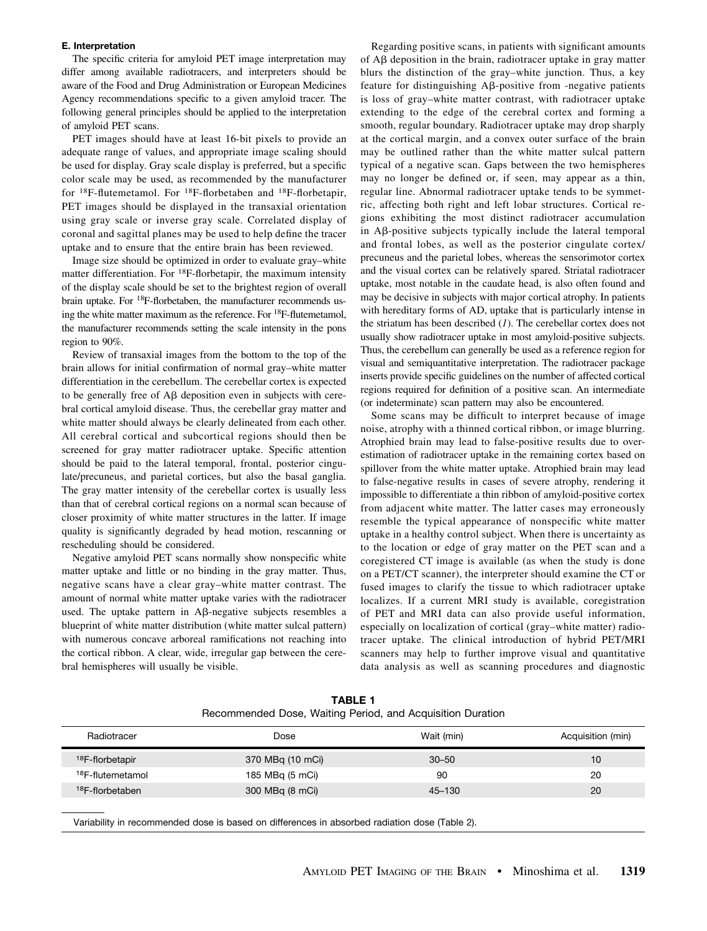## E. Interpretation

The specific criteria for amyloid PET image interpretation may differ among available radiotracers, and interpreters should be aware of the Food and Drug Administration or European Medicines Agency recommendations specific to a given amyloid tracer. The following general principles should be applied to the interpretation of amyloid PET scans.

PET images should have at least 16-bit pixels to provide an adequate range of values, and appropriate image scaling should be used for display. Gray scale display is preferred, but a specific color scale may be used, as recommended by the manufacturer for  $^{18}$ F-flutemetamol. For  $^{18}$ F-florbetaben and  $^{18}$ F-florbetapir, PET images should be displayed in the transaxial orientation using gray scale or inverse gray scale. Correlated display of coronal and sagittal planes may be used to help define the tracer uptake and to ensure that the entire brain has been reviewed.

Image size should be optimized in order to evaluate gray–white matter differentiation. For 18F-florbetapir, the maximum intensity of the display scale should be set to the brightest region of overall brain uptake. For 18F-florbetaben, the manufacturer recommends using the white matter maximum as the reference. For 18F-flutemetamol, the manufacturer recommends setting the scale intensity in the pons region to 90%.

Review of transaxial images from the bottom to the top of the brain allows for initial confirmation of normal gray–white matter differentiation in the cerebellum. The cerebellar cortex is expected to be generally free of  $\mathsf{A}\mathsf{B}$  deposition even in subjects with cerebral cortical amyloid disease. Thus, the cerebellar gray matter and white matter should always be clearly delineated from each other. All cerebral cortical and subcortical regions should then be screened for gray matter radiotracer uptake. Specific attention should be paid to the lateral temporal, frontal, posterior cingulate/precuneus, and parietal cortices, but also the basal ganglia. The gray matter intensity of the cerebellar cortex is usually less than that of cerebral cortical regions on a normal scan because of closer proximity of white matter structures in the latter. If image quality is significantly degraded by head motion, rescanning or rescheduling should be considered.

Negative amyloid PET scans normally show nonspecific white matter uptake and little or no binding in the gray matter. Thus, negative scans have a clear gray–white matter contrast. The amount of normal white matter uptake varies with the radiotracer used. The uptake pattern in  $\mathsf{A}\mathsf{B}$ -negative subjects resembles a blueprint of white matter distribution (white matter sulcal pattern) with numerous concave arboreal ramifications not reaching into the cortical ribbon. A clear, wide, irregular gap between the cerebral hemispheres will usually be visible.

Regarding positive scans, in patients with significant amounts of  $\overrightarrow{AB}$  deposition in the brain, radiotracer uptake in gray matter blurs the distinction of the gray–white junction. Thus, a key feature for distinguishing  $\mathsf{A}\mathsf{B}\text{-}\mathsf{positive}$  from -negative patients is loss of gray–white matter contrast, with radiotracer uptake extending to the edge of the cerebral cortex and forming a smooth, regular boundary. Radiotracer uptake may drop sharply at the cortical margin, and a convex outer surface of the brain may be outlined rather than the white matter sulcal pattern typical of a negative scan. Gaps between the two hemispheres may no longer be defined or, if seen, may appear as a thin, regular line. Abnormal radiotracer uptake tends to be symmetric, affecting both right and left lobar structures. Cortical regions exhibiting the most distinct radiotracer accumulation in  $\mathsf{A}\mathsf{B}\text{-}\mathsf{positive}$  subjects typically include the lateral temporal and frontal lobes, as well as the posterior cingulate cortex/ precuneus and the parietal lobes, whereas the sensorimotor cortex and the visual cortex can be relatively spared. Striatal radiotracer uptake, most notable in the caudate head, is also often found and may be decisive in subjects with major cortical atrophy. In patients with hereditary forms of AD, uptake that is particularly intense in the striatum has been described  $(I)$ . The cerebellar cortex does not usually show radiotracer uptake in most amyloid-positive subjects. Thus, the cerebellum can generally be used as a reference region for visual and semiquantitative interpretation. The radiotracer package inserts provide specific guidelines on the number of affected cortical regions required for definition of a positive scan. An intermediate (or indeterminate) scan pattern may also be encountered.

Some scans may be difficult to interpret because of image noise, atrophy with a thinned cortical ribbon, or image blurring. Atrophied brain may lead to false-positive results due to overestimation of radiotracer uptake in the remaining cortex based on spillover from the white matter uptake. Atrophied brain may lead to false-negative results in cases of severe atrophy, rendering it impossible to differentiate a thin ribbon of amyloid-positive cortex from adjacent white matter. The latter cases may erroneously resemble the typical appearance of nonspecific white matter uptake in a healthy control subject. When there is uncertainty as to the location or edge of gray matter on the PET scan and a coregistered CT image is available (as when the study is done on a PET/CT scanner), the interpreter should examine the CT or fused images to clarify the tissue to which radiotracer uptake localizes. If a current MRI study is available, coregistration of PET and MRI data can also provide useful information, especially on localization of cortical (gray–white matter) radiotracer uptake. The clinical introduction of hybrid PET/MRI scanners may help to further improve visual and quantitative data analysis as well as scanning procedures and diagnostic

| Radiotracer                  | Dose             | Wait (min) | Acquisition (min) |
|------------------------------|------------------|------------|-------------------|
| <sup>18</sup> F-florbetapir  | 370 MBq (10 mCi) | $30 - 50$  | 10                |
| <sup>18</sup> F-flutemetamol | 185 MBq (5 mCi)  | 90         | 20                |
| <sup>18</sup> F-florbetaben  | 300 MBq (8 mCi)  | 45-130     | 20                |
|                              |                  |            |                   |

TABLE 1 Recommended Dose, Waiting Period, and Acquisition Duration

Variability in recommended dose is based on differences in absorbed radiation dose (Table 2).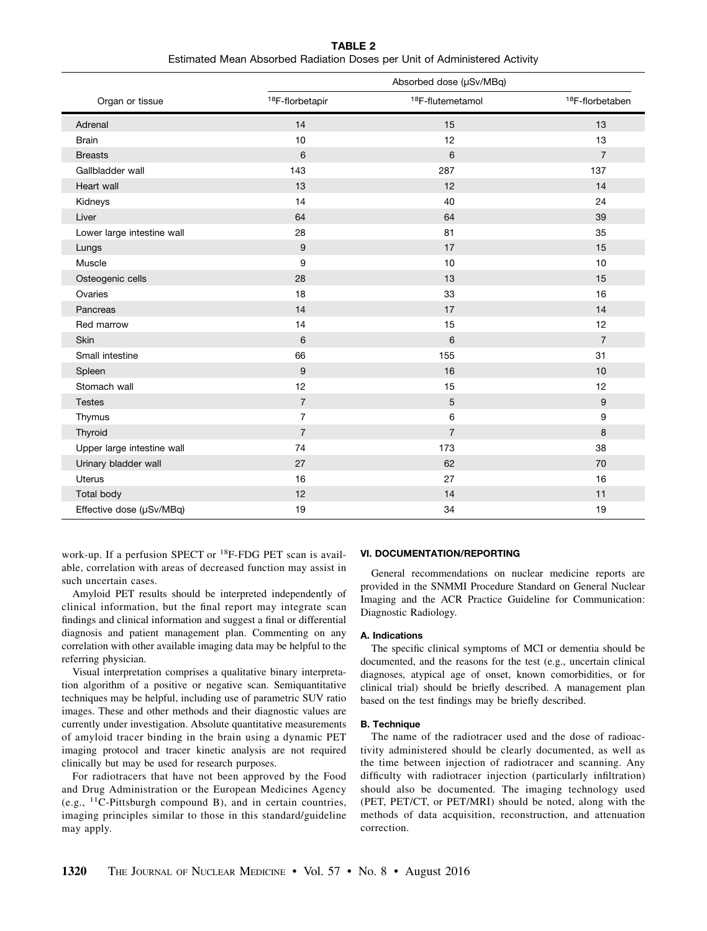TABLE 2 Estimated Mean Absorbed Radiation Doses per Unit of Administered Activity

|                            | Absorbed dose (µSv/MBq)     |                              |                             |
|----------------------------|-----------------------------|------------------------------|-----------------------------|
| Organ or tissue            | <sup>18</sup> F-florbetapir | <sup>18</sup> F-flutemetamol | <sup>18</sup> F-florbetaben |
| Adrenal                    | 14                          | 15                           | 13                          |
| <b>Brain</b>               | 10                          | 12                           | 13                          |
| <b>Breasts</b>             | 6                           | 6                            | $\overline{7}$              |
| Gallbladder wall           | 143                         | 287                          | 137                         |
| Heart wall                 | 13                          | 12                           | 14                          |
| Kidneys                    | 14                          | 40                           | 24                          |
| Liver                      | 64                          | 64                           | 39                          |
| Lower large intestine wall | 28                          | 81                           | 35                          |
| Lungs                      | 9                           | 17                           | 15                          |
| Muscle                     | 9                           | 10                           | 10                          |
| Osteogenic cells           | 28                          | 13                           | 15                          |
| Ovaries                    | 18                          | 33                           | 16                          |
| Pancreas                   | 14                          | 17                           | 14                          |
| Red marrow                 | 14                          | 15                           | 12                          |
| <b>Skin</b>                | 6                           | 6                            | $\overline{7}$              |
| Small intestine            | 66                          | 155                          | 31                          |
| Spleen                     | 9                           | 16                           | 10                          |
| Stomach wall               | 12                          | 15                           | 12                          |
| <b>Testes</b>              | $\overline{7}$              | 5                            | 9                           |
| Thymus                     | $\overline{7}$              | $\,6$                        | 9                           |
| Thyroid                    | $\overline{7}$              | $\overline{7}$               | 8                           |
| Upper large intestine wall | 74                          | 173                          | 38                          |
| Urinary bladder wall       | 27                          | 62                           | 70                          |
| <b>Uterus</b>              | 16                          | 27                           | 16                          |
| Total body                 | 12                          | 14                           | 11                          |
| Effective dose (µSv/MBq)   | 19                          | 34                           | 19                          |

work-up. If a perfusion SPECT or 18F-FDG PET scan is available, correlation with areas of decreased function may assist in such uncertain cases.

Amyloid PET results should be interpreted independently of clinical information, but the final report may integrate scan findings and clinical information and suggest a final or differential diagnosis and patient management plan. Commenting on any correlation with other available imaging data may be helpful to the referring physician.

Visual interpretation comprises a qualitative binary interpretation algorithm of a positive or negative scan. Semiquantitative techniques may be helpful, including use of parametric SUV ratio images. These and other methods and their diagnostic values are currently under investigation. Absolute quantitative measurements of amyloid tracer binding in the brain using a dynamic PET imaging protocol and tracer kinetic analysis are not required clinically but may be used for research purposes.

For radiotracers that have not been approved by the Food and Drug Administration or the European Medicines Agency (e.g., 11C-Pittsburgh compound B), and in certain countries, imaging principles similar to those in this standard/guideline may apply.

## VI. DOCUMENTATION/REPORTING

General recommendations on nuclear medicine reports are provided in the SNMMI Procedure Standard on General Nuclear Imaging and the ACR Practice Guideline for Communication: Diagnostic Radiology.

### A. Indications

The specific clinical symptoms of MCI or dementia should be documented, and the reasons for the test (e.g., uncertain clinical diagnoses, atypical age of onset, known comorbidities, or for clinical trial) should be briefly described. A management plan based on the test findings may be briefly described.

#### B. Technique

The name of the radiotracer used and the dose of radioactivity administered should be clearly documented, as well as the time between injection of radiotracer and scanning. Any difficulty with radiotracer injection (particularly infiltration) should also be documented. The imaging technology used (PET, PET/CT, or PET/MRI) should be noted, along with the methods of data acquisition, reconstruction, and attenuation correction.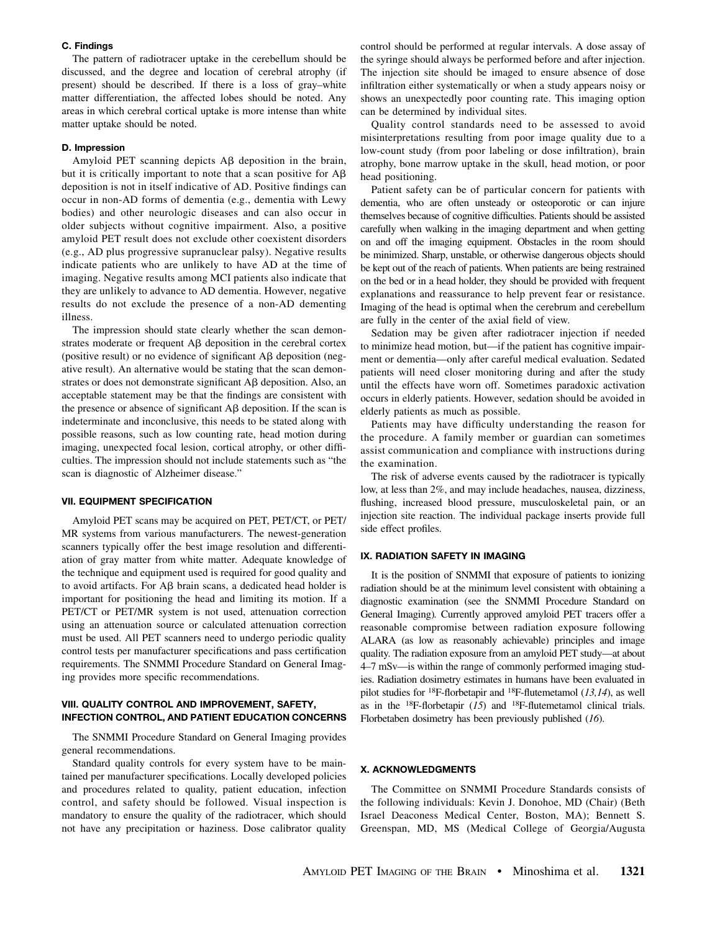## C. Findings

The pattern of radiotracer uptake in the cerebellum should be discussed, and the degree and location of cerebral atrophy (if present) should be described. If there is a loss of gray–white matter differentiation, the affected lobes should be noted. Any areas in which cerebral cortical uptake is more intense than white matter uptake should be noted.

#### D. Impression

Amyloid PET scanning depicts  $A\beta$  deposition in the brain, but it is critically important to note that a scan positive for  $A\beta$ deposition is not in itself indicative of AD. Positive findings can occur in non-AD forms of dementia (e.g., dementia with Lewy bodies) and other neurologic diseases and can also occur in older subjects without cognitive impairment. Also, a positive amyloid PET result does not exclude other coexistent disorders (e.g., AD plus progressive supranuclear palsy). Negative results indicate patients who are unlikely to have AD at the time of imaging. Negative results among MCI patients also indicate that they are unlikely to advance to AD dementia. However, negative results do not exclude the presence of a non-AD dementing illness.

The impression should state clearly whether the scan demonstrates moderate or frequent  $\mathbf{A}\mathbf{\beta}$  deposition in the cerebral cortex (positive result) or no evidence of significant  $\text{A}\beta$  deposition (negative result). An alternative would be stating that the scan demonstrates or does not demonstrate significant A $\beta$  deposition. Also, an acceptable statement may be that the findings are consistent with the presence or absence of significant  $\overrightarrow{AB}$  deposition. If the scan is indeterminate and inconclusive, this needs to be stated along with possible reasons, such as low counting rate, head motion during imaging, unexpected focal lesion, cortical atrophy, or other difficulties. The impression should not include statements such as "the scan is diagnostic of Alzheimer disease."

## VII. EQUIPMENT SPECIFICATION

Amyloid PET scans may be acquired on PET, PET/CT, or PET/ MR systems from various manufacturers. The newest-generation scanners typically offer the best image resolution and differentiation of gray matter from white matter. Adequate knowledge of the technique and equipment used is required for good quality and to avoid artifacts. For A $\beta$  brain scans, a dedicated head holder is important for positioning the head and limiting its motion. If a PET/CT or PET/MR system is not used, attenuation correction using an attenuation source or calculated attenuation correction must be used. All PET scanners need to undergo periodic quality control tests per manufacturer specifications and pass certification requirements. The SNMMI Procedure Standard on General Imaging provides more specific recommendations.

# VIII. QUALITY CONTROL AND IMPROVEMENT, SAFETY, INFECTION CONTROL, AND PATIENT EDUCATION CONCERNS

The SNMMI Procedure Standard on General Imaging provides general recommendations.

Standard quality controls for every system have to be maintained per manufacturer specifications. Locally developed policies and procedures related to quality, patient education, infection control, and safety should be followed. Visual inspection is mandatory to ensure the quality of the radiotracer, which should not have any precipitation or haziness. Dose calibrator quality

control should be performed at regular intervals. A dose assay of the syringe should always be performed before and after injection. The injection site should be imaged to ensure absence of dose infiltration either systematically or when a study appears noisy or shows an unexpectedly poor counting rate. This imaging option can be determined by individual sites.

Quality control standards need to be assessed to avoid misinterpretations resulting from poor image quality due to a low-count study (from poor labeling or dose infiltration), brain atrophy, bone marrow uptake in the skull, head motion, or poor head positioning.

Patient safety can be of particular concern for patients with dementia, who are often unsteady or osteoporotic or can injure themselves because of cognitive difficulties. Patients should be assisted carefully when walking in the imaging department and when getting on and off the imaging equipment. Obstacles in the room should be minimized. Sharp, unstable, or otherwise dangerous objects should be kept out of the reach of patients. When patients are being restrained on the bed or in a head holder, they should be provided with frequent explanations and reassurance to help prevent fear or resistance. Imaging of the head is optimal when the cerebrum and cerebellum are fully in the center of the axial field of view.

Sedation may be given after radiotracer injection if needed to minimize head motion, but—if the patient has cognitive impairment or dementia—only after careful medical evaluation. Sedated patients will need closer monitoring during and after the study until the effects have worn off. Sometimes paradoxic activation occurs in elderly patients. However, sedation should be avoided in elderly patients as much as possible.

Patients may have difficulty understanding the reason for the procedure. A family member or guardian can sometimes assist communication and compliance with instructions during the examination.

The risk of adverse events caused by the radiotracer is typically low, at less than 2%, and may include headaches, nausea, dizziness, flushing, increased blood pressure, musculoskeletal pain, or an injection site reaction. The individual package inserts provide full side effect profiles.

#### IX. RADIATION SAFETY IN IMAGING

It is the position of SNMMI that exposure of patients to ionizing radiation should be at the minimum level consistent with obtaining a diagnostic examination (see the SNMMI Procedure Standard on General Imaging). Currently approved amyloid PET tracers offer a reasonable compromise between radiation exposure following ALARA (as low as reasonably achievable) principles and image quality. The radiation exposure from an amyloid PET study—at about 4–7 mSv—is within the range of commonly performed imaging studies. Radiation dosimetry estimates in humans have been evaluated in pilot studies for <sup>18</sup>F-florbetapir and <sup>18</sup>F-flutemetamol ( $13,14$ ), as well as in the  $^{18}F$ -florbetapir (15) and  $^{18}F$ -flutemetamol clinical trials. Florbetaben dosimetry has been previously published (16).

# X. ACKNOWLEDGMENTS

The Committee on SNMMI Procedure Standards consists of the following individuals: Kevin J. Donohoe, MD (Chair) (Beth Israel Deaconess Medical Center, Boston, MA); Bennett S. Greenspan, MD, MS (Medical College of Georgia/Augusta